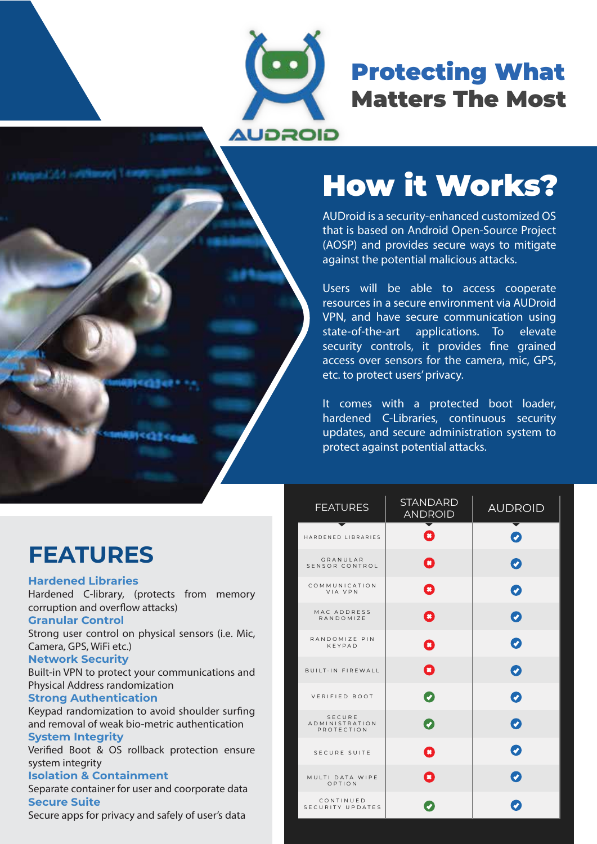

## Protecting What Matters The Most

# How it Works?

AUDroid is a security-enhanced customized OS that is based on Android Open-Source Project (AOSP) and provides secure ways to mitigate against the potential malicious attacks.

Users will be able to access cooperate resources in a secure environment via AUDroid VPN, and have secure communication using state-of-the-art applications. To elevate security controls, it provides fine grained access over sensors for the camera, mic, GPS, etc. to protect users' privacy.

It comes with a protected boot loader, hardened C-Libraries, continuous security updates, and secure administration system to protect against potential attacks.

| <b>FEATURES</b>                        | <b>STANDARD</b><br><b>ANDROID</b> | <b>AUDROID</b> |
|----------------------------------------|-----------------------------------|----------------|
| HARDENED LIBRARIES                     | B                                 | $\bullet$      |
| GRANULAR<br>SENSOR CONTROL             | 0                                 | $\bullet$      |
| COMMUNICATION<br>VIA VPN               | O                                 | $\bullet$      |
| MAC ADDRESS<br>RANDOMIZE               | O                                 | $\bullet$      |
| RANDOMIZE PIN<br>KFYPAD                | Q                                 | $\bullet$      |
| <b>BUILT-IN FIREWALL</b>               | O                                 | $\bullet$      |
| VERIFIED BOOT                          | Ø                                 | $\bullet$      |
| SECURE<br>ADMINISTRATION<br>PROTECTION | 0                                 | $\bullet$      |
| SECURE SUITE                           | Q                                 | $\bullet$      |
| MULTI DATA WIPE<br>OPTION              | $\mathbf{\Omega}$                 | 0              |
| CONTINUED<br>SECURITY UPDATES          |                                   | Ø              |

## **FEATURES**

#### **Hardened Libraries**

Hardened C-library, (protects from memory corruption and overflow attacks)

#### **Granular Control**

Strong user control on physical sensors (i.e. Mic, Camera, GPS, WiFi etc.)

#### **Network Security**

Built-in VPN to protect your communications and Physical Address randomization

#### **Strong Authentication**

Keypad randomization to avoid shoulder surfing and removal of weak bio-metric authentication

#### **System Integrity**

Verified Boot & OS rollback protection ensure system integrity

#### **Isolation & Containment**

Separate container for user and coorporate data **Secure Suite**

Secure apps for privacy and safely of user's data